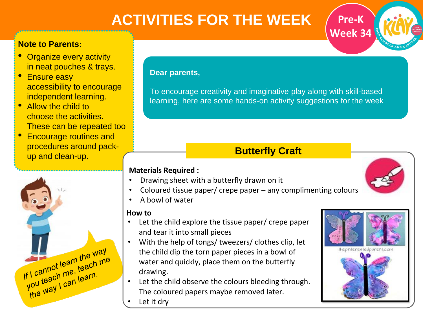# **ACTIVITIES FOR THE WEEK**

## **Note to Parents:**

- Organize every activity in neat pouches & trays.
- **Ensure easy** accessibility to encourage independent learning.
- Allow the child to choose the activities. These can be repeated too
- Encourage routines and procedures around packup and clean-up.



### **Dear parents,**

To encourage creativity and imaginative play along with skill-based learning, here are some hands-on activity suggestions for the week

# **Butterfly Craft**

### **Materials Required :**

- Drawing sheet with a butterfly drawn on it
- Coloured tissue paper/ crepe paper any complimenting colours
- A bowl of water

## **How to**

- Let the child explore the tissue paper/ crepe paper and tear it into small pieces
- With the help of tongs/ tweezers/ clothes clip, let the child dip the torn paper pieces in a bowl of water and quickly, place them on the butterfly drawing.
- Let the child observe the colours bleeding through. The coloured papers maybe removed later.
- Let it dry



**Pre-K**

**Week 34**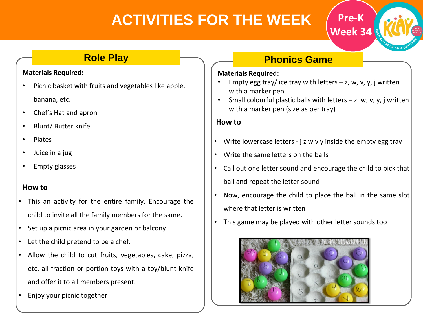# **ACTIVITIES FOR THE WEEK**

## **Role Play**

### **Materials Required:**

- Picnic basket with fruits and vegetables like apple, banana, etc.
- Chef's Hat and apron
- Blunt/ Butter knife
- Plates
- Juice in a jug
- Empty glasses

## **How to**

- This an activity for the entire family. Encourage the child to invite all the family members for the same.
- Set up a picnic area in your garden or balcony
- Let the child pretend to be a chef.
- Allow the child to cut fruits, vegetables, cake, pizza, etc. all fraction or portion toys with a toy/blunt knife and offer it to all members present.
- Enjoy your picnic together

# **Phonics Game**

#### **Materials Required:**

- Empty egg tray/ ice tray with letters  $z$ , w, v, y, j written with a marker pen
- Small colourful plastic balls with letters  $z$ , w, v, y, j written with a marker pen (size as per tray)

**Pre-K**

**Week 34**

### **How to**

- Write lowercase letters  $j$  z w v y inside the empty egg tray
- Write the same letters on the balls
- Call out one letter sound and encourage the child to pick that ball and repeat the letter sound
- Now, encourage the child to place the ball in the same slot where that letter is written
- This game may be played with other letter sounds too